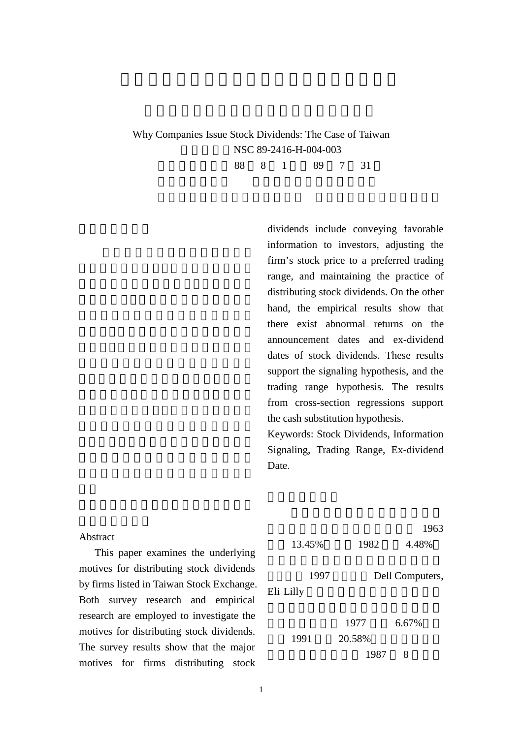## Why Companies Issue Stock Dividends: The Case of Taiwan NSC 89-2416-H-004-003 執行期限:民國 88 8 1 日至 89 7 31

dividends include conveying favorable information to investors, adjusting the firm's stock price to a preferred trading range, and maintaining the practice of distributing stock dividends. On the other hand, the empirical results show that there exist abnormal returns on the announcement dates and ex-dividend dates of stock dividends. These results support the signaling hypothesis, and the trading range hypothesis. The results from cross-section regressions support the cash substitution hypothesis.

Keywords: Stock Dividends, Information Signaling, Trading Range, Ex-dividend Date.

|                                               |           |        | 1963            |
|-----------------------------------------------|-----------|--------|-----------------|
| Abstract                                      | 13.45%    | 1982   | 4.48%           |
| This paper examines the underlying            |           |        |                 |
| motives for distributing stock dividends      | 1997      |        | Dell Computers, |
| by firms listed in Taiwan Stock Exchange.     |           |        |                 |
| research and empirical<br>Both survey         | Eli Lilly |        |                 |
| research are employed to investigate the      |           | 1977   | 6.67%           |
| motives for distributing stock dividends.     |           | 20.58% |                 |
| The survey results show that the major        | 1991      | 1987   | 8               |
| distributing<br>for firms<br>stock<br>motives |           |        |                 |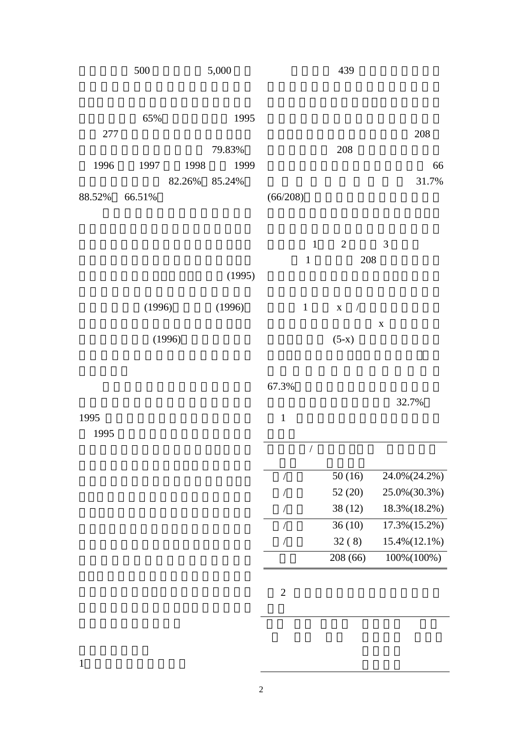|        | 500    |        | 5,000  |          |              | 439 |     |   |       |
|--------|--------|--------|--------|----------|--------------|-----|-----|---|-------|
|        | 65%    |        | 1995   |          |              |     |     |   |       |
| 277    |        |        |        |          |              |     |     |   | 208   |
|        |        |        | 79.83% |          |              | 208 |     |   |       |
| 1996   | 1997   | 1998   | 1999   |          |              |     |     |   | 66    |
|        |        | 82.26% | 85.24% |          |              |     |     |   | 31.7% |
| 88.52% | 66.51% |        |        | (66/208) |              |     |     |   |       |
|        |        |        |        |          |              |     |     |   |       |
|        |        |        |        |          |              |     |     |   |       |
|        |        |        |        |          | $\mathbf{1}$ | 2   |     | 3 |       |
|        |        |        |        |          | $\mathbf{1}$ |     | 208 |   |       |
|        |        |        | (1995) |          |              |     |     |   |       |

| (1996) | (1996) | 1 $\mathbf{x}$ / |   |  |
|--------|--------|------------------|---|--|
|        |        |                  | X |  |
| (1996) |        | $(5-x)$          |   |  |

 $67.3%$ 

32.7%

|  | 50(16)   | 24.0% (24.2%) |
|--|----------|---------------|
|  | 52(20)   | 25.0%(30.3%)  |
|  | 38 (12)  | 18.3% (18.2%) |
|  | 36(10)   | 17.3% (15.2%) |
|  | 32(8)    | 15.4% (12.1%) |
|  | 208 (66) | 100%(100%)    |

 $1$ 

 $2 \angle$ 

1995

1995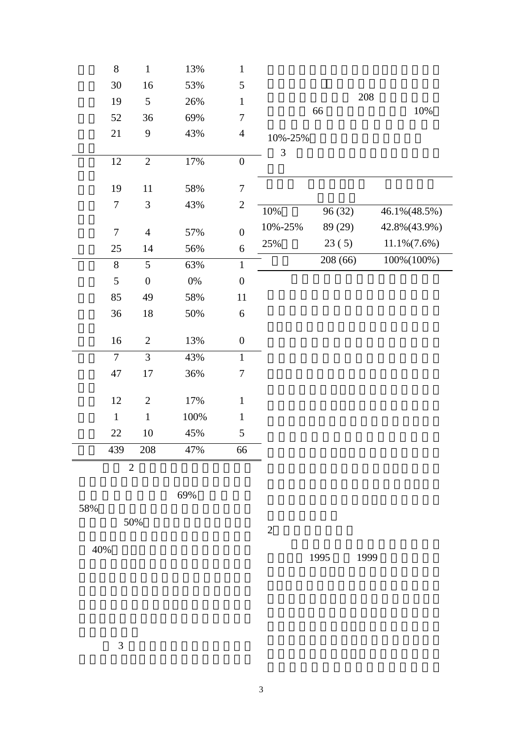| $8\,$          | $\mathbf{1}$     | 13%    | $\mathbf{1}$     |         |         |                 |
|----------------|------------------|--------|------------------|---------|---------|-----------------|
| 30             | 16               | 53%    | 5                |         |         |                 |
| 19             | 5                | 26%    | $\mathbf{1}$     |         | 208     |                 |
| 52             | 36               | 69%    | $\boldsymbol{7}$ |         | 66      | 10%             |
| 21             | 9                | 43%    | $\overline{4}$   | 10%-25% |         |                 |
| 12             | $\overline{2}$   | $17\%$ | $\boldsymbol{0}$ | 3       |         |                 |
| 19             | 11               | 58%    | $\tau$           |         |         |                 |
| $\tau$         | 3                | 43%    | $\mathbf{2}$     | 10%     | 96 (32) | 46.1% (48.5%)   |
|                |                  |        |                  | 10%-25% |         | 42.8% (43.9%)   |
| $\overline{7}$ | $\overline{4}$   | 57%    | $\overline{0}$   |         | 89 (29) |                 |
| 25             | 14               | 56%    | 6                | 25%     | 23(5)   | $11.1\%(7.6\%)$ |
| $\overline{8}$ | $\overline{5}$   | 63%    | $\,1$            |         | 208(66) | $100\% (100\%)$ |
| 5              | $\boldsymbol{0}$ | $0\%$  | $\boldsymbol{0}$ |         |         |                 |
| 85             | 49               | 58%    | 11               |         |         |                 |
| 36             | 18               | 50%    | 6                |         |         |                 |
| 16             | $\overline{2}$   | 13%    | $\boldsymbol{0}$ |         |         |                 |
| $\overline{7}$ | $\overline{3}$   | 43%    | $\mathbf{1}$     |         |         |                 |
| 47             | 17               | 36%    | $\tau$           |         |         |                 |
| 12             | $\mathbf{2}$     | 17%    | $\mathbf{1}$     |         |         |                 |
| $\mathbf{1}$   | $\mathbf{1}$     | 100%   | $\mathbf{1}$     |         |         |                 |
| 22             | 10               | 45%    | 5                |         |         |                 |
| 439            | 208              | 47%    | 66               |         |         |                 |
| $\overline{2}$ |                  |        |                  |         |         |                 |
|                |                  |        |                  |         |         |                 |

最高的為紡織業有 69%,電子業有

58%

50%

40%以下。因此我們可以知道台灣的

1995 1999

 $2<sub>?</sub>$ 

 $3 \nightharpoonup$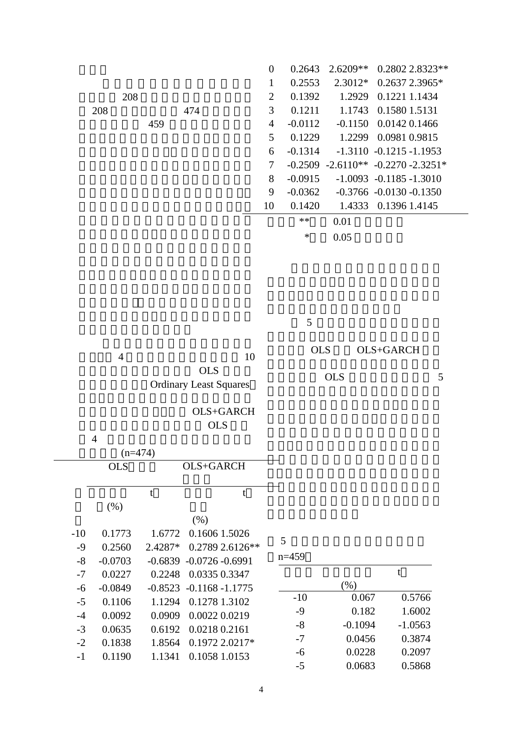| $0.2802$ 2.8323**                          |
|--------------------------------------------|
| $2.3012*$ 0.2637 2.3965*                   |
| 1.2929 0.1221 1.1434                       |
| 1.1743 0.1580 1.5131                       |
| $-0.1150$ $0.0142$ $0.1466$                |
| 1.2299 0.0981 0.9815                       |
| $-1.3110 -0.1215 -1.1953$                  |
| $-0.2509$ $-2.6110**$ $-0.2270$ $-2.3251*$ |
| $-1.0093$ $-0.1185 - 1.3010$               |
| $-0.3766 - 0.0130 - 0.1350$                |
| 1.4333 0.1396 1.4145                       |
|                                            |
|                                            |
|                                            |

 $5<sub>3</sub>$ 

| 10                                   | <b>OLS</b> | OLS+GARCH |  |
|--------------------------------------|------------|-----------|--|
| OLS<br><b>Ordinary Least Squares</b> | OLS        |           |  |

| OLS+GARCH  |
|------------|
| <b>OLS</b> |

|       | $\overline{4}$ |           |                               |         |           |           |
|-------|----------------|-----------|-------------------------------|---------|-----------|-----------|
|       |                | $(n=474)$ |                               |         |           |           |
|       | <b>OLS</b>     |           | OLS+GARCH                     |         |           |           |
|       |                | t         |                               |         |           |           |
|       | (% )           |           |                               |         |           |           |
|       |                |           | (% )                          |         |           |           |
| $-10$ | 0.1773         | 1.6772    | 0.1606 1.5026                 | 5       |           |           |
| $-9$  | 0.2560         | 2.4287*   | 0.2789 2.6126**               |         |           |           |
| $-8$  | $-0.0703$      | $-0.6839$ | $-0.0726 - 0.6991$            | $n=459$ |           |           |
| $-7$  | 0.0227         | 0.2248    | 0.0335 0.3347                 |         |           | t         |
| $-6$  | $-0.0849$      |           | $-0.8523$ $-0.1168$ $-1.1775$ |         | (% )      |           |
| $-5$  | 0.1106         | 1.1294    | 0.1278 1.3102                 | $-10$   | 0.067     | 0.5766    |
| $-4$  | 0.0092         | 0.0909    | 0.0022 0.0219                 | $-9$    | 0.182     | 1.6002    |
| $-3$  | 0.0635         | 0.6192    | 0.0218 0.2161                 | $-8$    | $-0.1094$ | $-1.0563$ |
| $-2$  | 0.1838         | 1.8564    | 0.1972 2.0217*                | $-7$    | 0.0456    | 0.3874    |
| $-1$  | 0.1190         | 1.1341    | 0.1058 1.0153                 | $-6$    | 0.0228    | 0.2097    |
|       |                |           |                               | -       | 0.000     | 0.500     |

| $5\overline{)}$ |
|-----------------|
|                 |

| n=459 |           |           |
|-------|-----------|-----------|
|       |           | t         |
|       | (% )      |           |
| $-10$ | 0.067     | 0.5766    |
| $-9$  | 0.182     | 1.6002    |
| -8    | $-0.1094$ | $-1.0563$ |
| $-7$  | 0.0456    | 0.3874    |
| -6    | 0.0228    | 0.2097    |
| -5    | 0.0683    | 0.5868    |
|       |           |           |

OLS+GARCH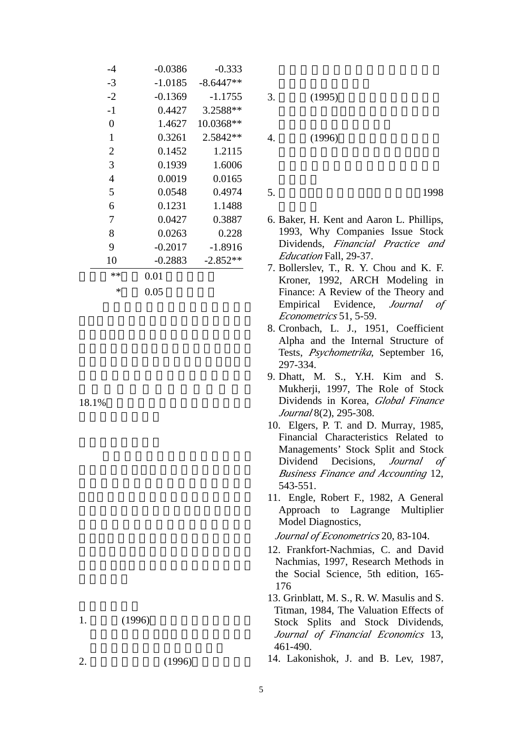| -4             |           | $-0.0386$ | $-0.333$    |
|----------------|-----------|-----------|-------------|
| $-3$           |           | $-1.0185$ | $-8.6447**$ |
| $-2$           |           | $-0.1369$ | $-1.1755$   |
| $-1$           |           | 0.4427    | 3.2588**    |
| $\overline{0}$ |           | 1.4627    | 10.0368**   |
| $\mathbf{1}$   |           | 0.3261    | 2.5842 **   |
| $\overline{2}$ |           | 0.1452    | 1.2115      |
| 3              |           | 0.1939    | 1.6006      |
| 4              |           | 0.0019    | 0.0165      |
| 5              |           | 0.0548    | 0.4974      |
| 6              |           | 0.1231    | 1.1488      |
| 7              |           | 0.0427    | 0.3887      |
| 8              |           | 0.0263    | 0.228       |
| 9              |           | $-0.2017$ | $-1.8916$   |
| 10             |           | $-0.2883$ | $-2.852**$  |
| **             | 0.01      |           |             |
|                | ∗<br>0.05 |           |             |

18.1%

 $1.$  (1996)

 $2. (1996)$ 

 $3. (1995)$ 

4. (1996)

5. 陳順宇,多變量分析,華泰書局 1998

- 6. Baker, H. Kent and Aaron L. Phillips, 1993, Why Companies Issue Stock Dividends, *Financial Practice and Education* Fall, 29-37.
- 7. Bollerslev, T., R. Y. Chou and K. F. Kroner, 1992, ARCH Modeling in Finance: A Review of the Theory and Empirical Evidence, *Journal of Econometrics* 51, 5-59.
- 8. Cronbach, L. J., 1951, Coefficient Alpha and the Internal Structure of Tests, *Psychometrika*, September 16, 297-334.
- 9. Dhatt, M. S., Y.H. Kim and S. Mukherji, 1997, The Role of Stock Dividends in Korea, *Global Finance Journal* 8(2), 295-308.
- 10. Elgers, P. T. and D. Murray, 1985, Financial Characteristics Related to Managements' Stock Split and Stock Dividend Decisions, *Journal of Business Finance and Accounting* 12, 543-551.
- 11. Engle, Robert F., 1982, A General Approach to Lagrange Multiplier Model Diagnostics,

*Journal of Econometrics* 20, 83-104.

12. Frankfort-Nachmias, C. and David Nachmias, 1997, Research Methods in the Social Science, 5th edition, 165- 176

13. Grinblatt, M. S., R. W. Masulis and S. Titman, 1984, The Valuation Effects of Stock Splits and Stock Dividends, *Journal of Financial Economics* 13, 461-490.

14. Lakonishok, J. and B. Lev, 1987,